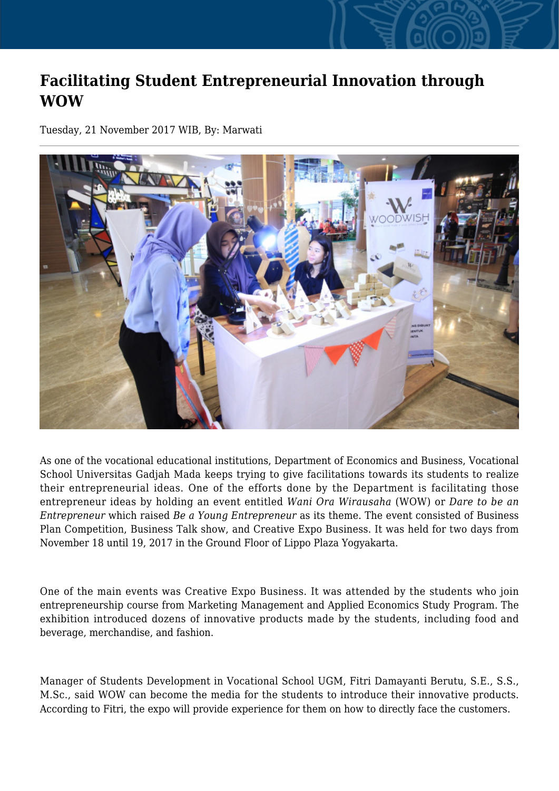## **Facilitating Student Entrepreneurial Innovation through WOW**

Tuesday, 21 November 2017 WIB, By: Marwati



As one of the vocational educational institutions, Department of Economics and Business, Vocational School Universitas Gadjah Mada keeps trying to give facilitations towards its students to realize their entrepreneurial ideas. One of the efforts done by the Department is facilitating those entrepreneur ideas by holding an event entitled *Wani Ora Wirausaha* (WOW) or *Dare to be an Entrepreneur* which raised *Be a Young Entrepreneur* as its theme. The event consisted of Business Plan Competition, Business Talk show, and Creative Expo Business. It was held for two days from November 18 until 19, 2017 in the Ground Floor of Lippo Plaza Yogyakarta.

One of the main events was Creative Expo Business. It was attended by the students who join entrepreneurship course from Marketing Management and Applied Economics Study Program. The exhibition introduced dozens of innovative products made by the students, including food and beverage, merchandise, and fashion.

Manager of Students Development in Vocational School UGM, Fitri Damayanti Berutu, S.E., S.S., M.Sc., said WOW can become the media for the students to introduce their innovative products. According to Fitri, the expo will provide experience for them on how to directly face the customers.